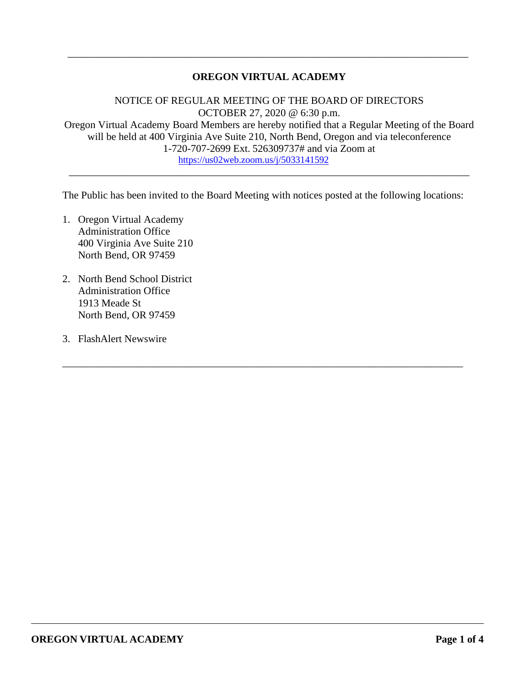# **OREGON VIRTUAL ACADEMY**

\_\_\_\_\_\_\_\_\_\_\_\_\_\_\_\_\_\_\_\_\_\_\_\_\_\_\_\_\_\_\_\_\_\_\_\_\_\_\_\_\_\_\_\_\_\_\_\_\_\_\_\_\_\_\_\_\_\_\_\_\_\_\_\_\_\_\_\_\_\_\_\_\_\_\_\_\_

NOTICE OF REGULAR MEETING OF THE BOARD OF DIRECTORS OCTOBER 27, 2020 @ 6:30 p.m. Oregon Virtual Academy Board Members are hereby notified that a Regular Meeting of the Board will be held at 400 Virginia Ave Suite 210, North Bend, Oregon and via teleconference 1-720-707-2699 Ext. 526309737# and via Zoom at https://us02web.zoom.us/j/5033141592

\_\_\_\_\_\_\_\_\_\_\_\_\_\_\_\_\_\_\_\_\_\_\_\_\_\_\_\_\_\_\_\_\_\_\_\_\_\_\_\_\_\_\_\_\_\_\_\_\_\_\_\_\_\_\_\_\_\_\_\_\_\_\_\_\_\_\_\_\_\_\_\_\_\_\_\_\_

The Public has been invited to the Board Meeting with notices posted at the following locations:

\_\_\_\_\_\_\_\_\_\_\_\_\_\_\_\_\_\_\_\_\_\_\_\_\_\_\_\_\_\_\_\_\_\_\_\_\_\_\_\_\_\_\_\_\_\_\_\_\_\_\_\_\_\_\_\_\_\_\_\_\_\_\_\_\_\_\_\_\_\_\_\_\_\_\_\_\_

- 1. Oregon Virtual Academy Administration Office 400 Virginia Ave Suite 210 North Bend, OR 97459
- 2. North Bend School District Administration Office 1913 Meade St North Bend, OR 97459
- 3. FlashAlert Newswire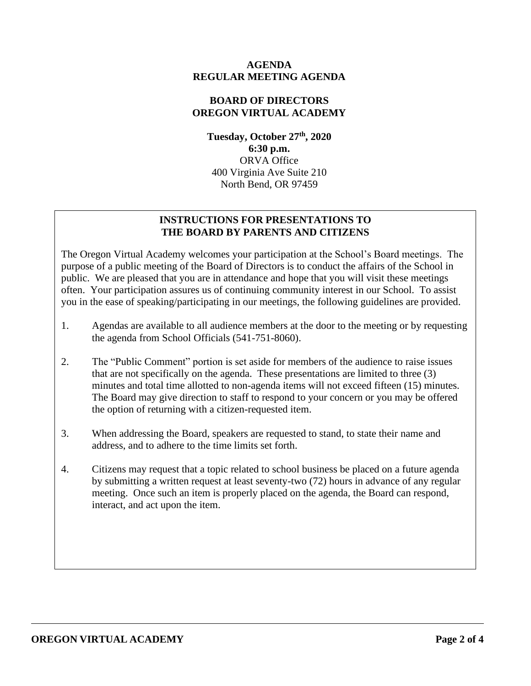## **AGENDA REGULAR MEETING AGENDA**

## **BOARD OF DIRECTORS OREGON VIRTUAL ACADEMY**

**Tuesday, October 27th , 2020 6:30 p.m.** ORVA Office 400 Virginia Ave Suite 210 North Bend, OR 97459

# **INSTRUCTIONS FOR PRESENTATIONS TO THE BOARD BY PARENTS AND CITIZENS**

The Oregon Virtual Academy welcomes your participation at the School's Board meetings. The purpose of a public meeting of the Board of Directors is to conduct the affairs of the School in public. We are pleased that you are in attendance and hope that you will visit these meetings often. Your participation assures us of continuing community interest in our School. To assist you in the ease of speaking/participating in our meetings, the following guidelines are provided.

- 1. Agendas are available to all audience members at the door to the meeting or by requesting the agenda from School Officials (541-751-8060).
- 2. The "Public Comment" portion is set aside for members of the audience to raise issues that are not specifically on the agenda. These presentations are limited to three (3) minutes and total time allotted to non-agenda items will not exceed fifteen (15) minutes. The Board may give direction to staff to respond to your concern or you may be offered the option of returning with a citizen-requested item.
- 3. When addressing the Board, speakers are requested to stand, to state their name and address, and to adhere to the time limits set forth.
- 4. Citizens may request that a topic related to school business be placed on a future agenda by submitting a written request at least seventy-two (72) hours in advance of any regular meeting. Once such an item is properly placed on the agenda, the Board can respond, interact, and act upon the item.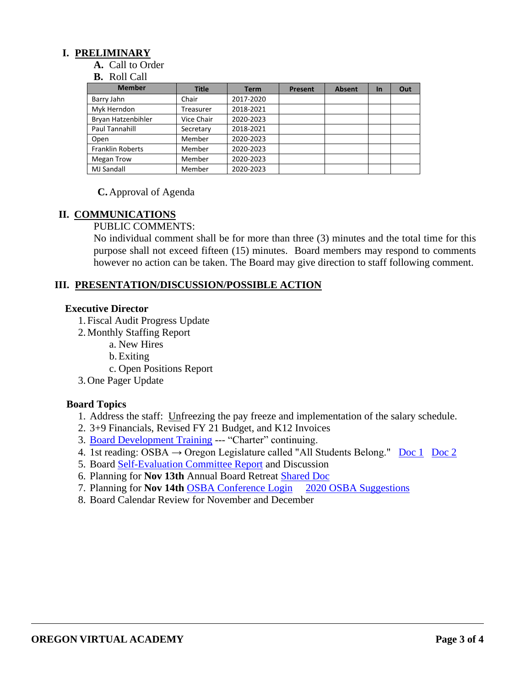## **I. PRELIMINARY**

**A.** Call to Order

#### **B.** Roll Call

| <b>Member</b>           | <b>Title</b> | <b>Term</b> | Present | <b>Absent</b> | <b>In</b> | Out |
|-------------------------|--------------|-------------|---------|---------------|-----------|-----|
| Barry Jahn              | Chair        | 2017-2020   |         |               |           |     |
| Myk Herndon             | Treasurer    | 2018-2021   |         |               |           |     |
| Bryan Hatzenbihler      | Vice Chair   | 2020-2023   |         |               |           |     |
| Paul Tannahill          | Secretary    | 2018-2021   |         |               |           |     |
| Open                    | Member       | 2020-2023   |         |               |           |     |
| <b>Franklin Roberts</b> | Member       | 2020-2023   |         |               |           |     |
| Megan Trow              | Member       | 2020-2023   |         |               |           |     |
| <b>MJ Sandall</b>       | Member       | 2020-2023   |         |               |           |     |

**C.** Approval of Agenda

#### **II. COMMUNICATIONS**

PUBLIC COMMENTS:

No individual comment shall be for more than three (3) minutes and the total time for this purpose shall not exceed fifteen (15) minutes. Board members may respond to comments however no action can be taken. The Board may give direction to staff following comment.

#### **III. PRESENTATION/DISCUSSION/POSSIBLE ACTION**

#### **Executive Director**

- 1. Fiscal Audit Progress Update
- 2. Monthly Staffing Report
	- a. New Hires
	- b.Exiting
	- c. Open Positions Report
- 3. One Pager Update

#### **Board Topics**

- 1. Address the staff: Unfreezing the pay freeze and implementation of the salary schedule.
- 2. 3+9 Financials, Revised FY 21 Budget, and K12 Invoices
- 3. Board Development Training --- "Charter" continuing.
- 4. 1st reading: OSBA  $\rightarrow$  Oregon Legislature called "All Students Belong." Doc 1 Doc 2
- 5. Board Self-Evaluation Committee Report and Discussion
- 6. Planning for **Nov 13th** Annual Board Retreat Shared Doc
- 7. Planning for **Nov 14th** OSBA Conference Login 2020 OSBA Suggestions
- 8. Board Calendar Review for November and December